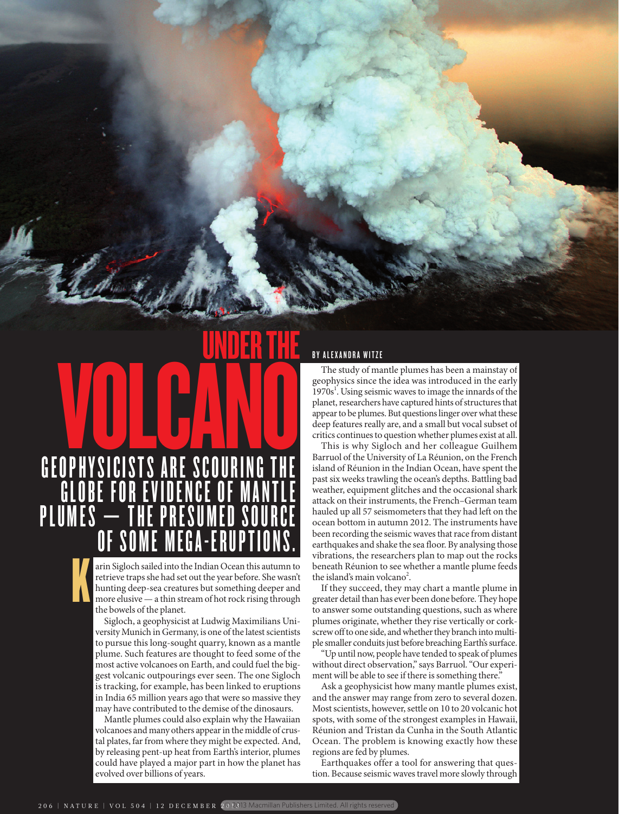# GEOPHYSICISTS ARE SCOURING THE <u>globe for evidence of mantie</u> **PLUMES** OF SOME MEGA-ERUPTIONS. UNDER THE OPHYSICISTS ARE SCOURING THE

arin Sigloch sailed into the Indian Ocean this autumn to retrieve traps she had set out the year before. She wasn't hunting deep-sea creatures but something deeper and more elusive — a thin stream of hot rock rising through the bowels of the planet. K

Sigloch, a geophysicist at Ludwig Maximilians University Munich in Germany, is one of the latest scientists to pursue this long-sought quarry, known as a mantle plume. Such features are thought to feed some of the most active volcanoes on Earth, and could fuel the biggest volcanic outpourings ever seen. The one Sigloch is tracking, for example, has been linked to eruptions in India 65 million years ago that were so massive they may have contributed to the demise of the dinosaurs.

Mantle plumes could also explain why the Hawaiian volcanoes and many others appear in the middle of crustal plates, far from where they might be expected. And, by releasing pent-up heat from Earth's interior, plumes could have played a major part in how the planet has evolved over billions of years.

## BY ALEXANDRA WITZE

The study of mantle plumes has been a mainstay of geophysics since the idea was introduced in the early 1970s<sup>1</sup>. Using seismic waves to image the innards of the planet, researchers have captured hints of structures that appear to be plumes. But questions linger over what these deep features really are, and a small but vocal subset of critics continues to question whether plumes exist at all.

This is why Sigloch and her colleague Guilhem Barruol of the University of La Réunion, on the French island of Réunion in the Indian Ocean, have spent the past six weeks trawling the ocean's depths. Battling bad weather, equipment glitches and the occasional shark attack on their instruments, the French–German team hauled up all 57 seismometers that they had left on the ocean bottom in autumn 2012. The instruments have been recording the seismic waves that race from distant earthquakes and shake the sea floor. By analysing those vibrations, the researchers plan to map out the rocks beneath Réunion to see whether a mantle plume feeds the island's main volcano<sup>2</sup>.

If they succeed, they may chart a mantle plume in greater detail than has ever been done before. They hope to answer some outstanding questions, such as where plumes originate, whether they rise vertically or corkscrew off to one side, and whether they branch into multiple smaller conduits just before breaching Earth's surface.

"Up until now, people have tended to speak of plumes without direct observation," says Barruol. "Our experiment will be able to see if there is something there."

Ask a geophysicist how many mantle plumes exist, and the answer may range from zero to several dozen. Most scientists, however, settle on 10 to 20 volcanic hot spots, with some of the strongest examples in Hawaii, Réunion and Tristan da Cunha in the South Atlantic Ocean. The problem is knowing exactly how these regions are fed by plumes.

Earthquakes offer a tool for answering that question. Because seismic waves travel more slowly through